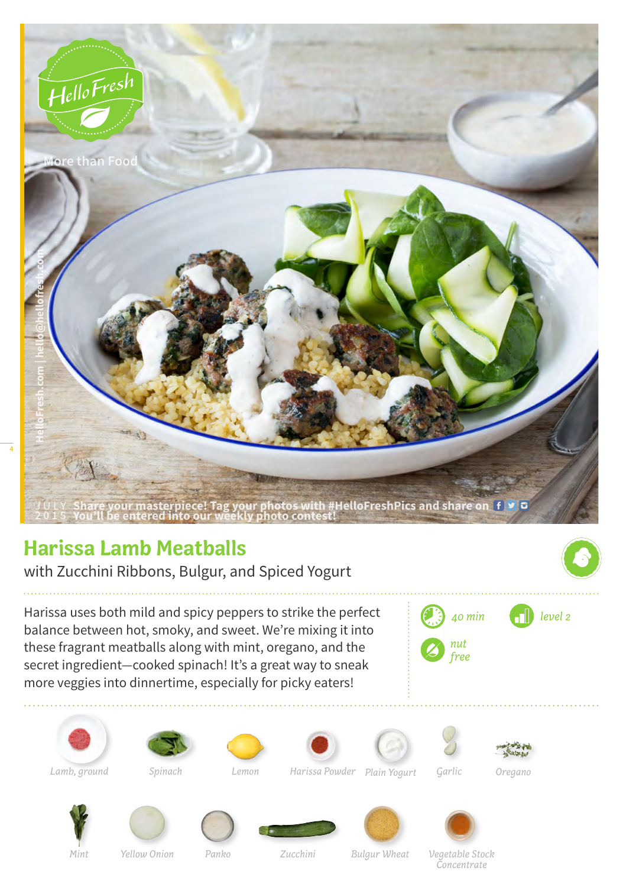

## **Harissa Lamb Meatballs**

with Zucchini Ribbons, Bulgur, and Spiced Yogurt

Harissa uses both mild and spicy peppers to strike the perfect balance between hot, smoky, and sweet. We're mixing it into these fragrant meatballs along with mint, oregano, and the secret ingredient—cooked spinach! It's a great way to sneak more veggies into dinnertime, especially for picky eaters!

















*Spinach* 



*Lamb, ground Harissa Powder Lemon Plain Yogurt Garlic Oregano*





*Yellow Onion Panko Bulgur Wheat Vegetable Stock Concentrate*

*Mint Yellow Onion*